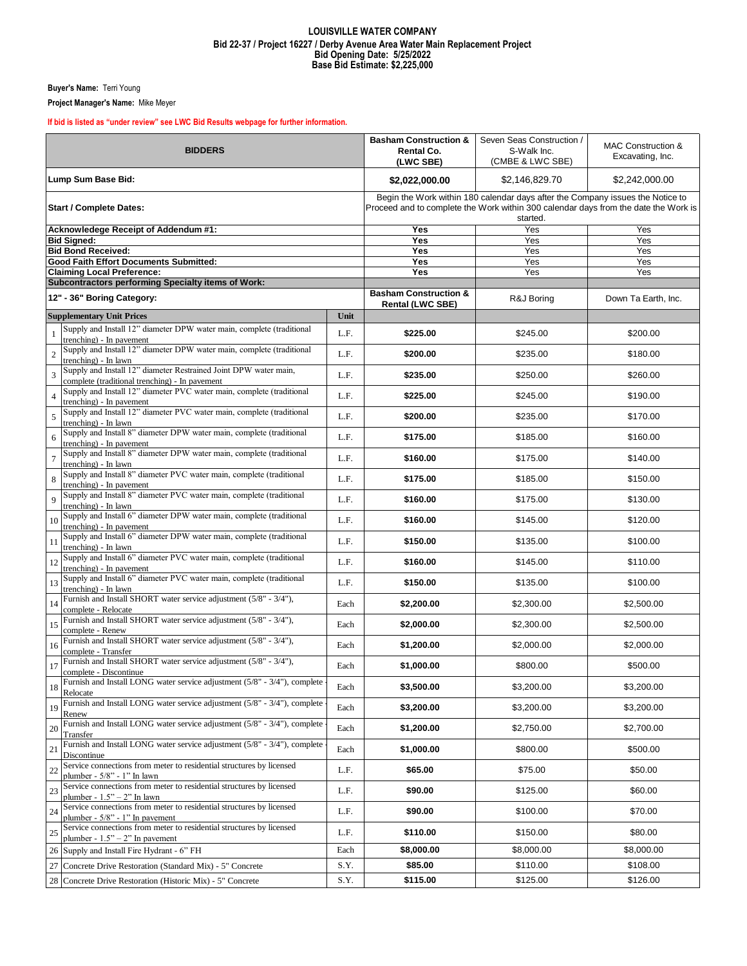## **LOUISVILLE WATER COMPANY Bid 22-37 / Project 16227 / Derby Avenue Area Water Main Replacement Project Bid Opening Date: 5/25/2022 Base Bid Estimate: \$2,225,000**

**Buyer's Name:** Terri Young

**Project Manager's Name:** Mike Meyer

## **If bid is listed as "under review" see LWC Bid Results webpage for further information.**

| <b>BIDDERS</b>                                |                                                                                                                    |      | <b>Basham Construction &amp;</b><br><b>Rental Co.</b><br>(LWC SBE)                                                                                                                | Seven Seas Construction /<br>S-Walk Inc.<br>(CMBE & LWC SBE) | <b>MAC Construction &amp;</b><br>Excavating, Inc. |  |
|-----------------------------------------------|--------------------------------------------------------------------------------------------------------------------|------|-----------------------------------------------------------------------------------------------------------------------------------------------------------------------------------|--------------------------------------------------------------|---------------------------------------------------|--|
| Lump Sum Base Bid:                            |                                                                                                                    |      | \$2,022,000.00                                                                                                                                                                    | \$2,146,829.70                                               | \$2,242,000.00                                    |  |
| <b>Start / Complete Dates:</b>                |                                                                                                                    |      | Begin the Work within 180 calendar days after the Company issues the Notice to<br>Proceed and to complete the Work within 300 calendar days from the date the Work is<br>started. |                                                              |                                                   |  |
| Acknowledege Receipt of Addendum #1:          |                                                                                                                    |      | Yes                                                                                                                                                                               | Yes                                                          | Yes                                               |  |
| <b>Bid Signed:</b>                            |                                                                                                                    |      | Yes                                                                                                                                                                               | Yes                                                          | Yes                                               |  |
|                                               | <b>Bid Bond Received:</b>                                                                                          |      | Yes                                                                                                                                                                               | Yes                                                          | Yes                                               |  |
| <b>Good Faith Effort Documents Submitted:</b> |                                                                                                                    |      | Yes                                                                                                                                                                               | Yes                                                          | Yes                                               |  |
|                                               | <b>Claiming Local Preference:</b><br>Subcontractors performing Specialty items of Work:                            |      | Yes                                                                                                                                                                               | Yes                                                          | Yes                                               |  |
| 12" - 36" Boring Category:                    |                                                                                                                    |      | <b>Basham Construction &amp;</b><br><b>Rental (LWC SBE)</b>                                                                                                                       | R&J Boring                                                   | Down Ta Earth, Inc.                               |  |
| <b>Supplementary Unit Prices</b>              |                                                                                                                    | Unit |                                                                                                                                                                                   |                                                              |                                                   |  |
| $\mathbf{1}$                                  | Supply and Install 12" diameter DPW water main, complete (traditional<br>trenching) - In pavement                  | L.F. | \$225.00                                                                                                                                                                          | \$245.00                                                     | \$200.00                                          |  |
| $\overline{2}$                                | Supply and Install 12" diameter DPW water main, complete (traditional<br>trenching) - In lawn                      | L.F. | \$200.00                                                                                                                                                                          | \$235.00                                                     | \$180.00                                          |  |
| $\overline{3}$                                | Supply and Install 12" diameter Restrained Joint DPW water main,<br>complete (traditional trenching) - In pavement | L.F. | \$235.00                                                                                                                                                                          | \$250.00                                                     | \$260.00                                          |  |
| $\overline{4}$                                | Supply and Install 12" diameter PVC water main, complete (traditional<br>trenching) - In pavement                  | L.F. | \$225.00                                                                                                                                                                          | \$245.00                                                     | \$190.00                                          |  |
| $\overline{5}$                                | Supply and Install 12" diameter PVC water main, complete (traditional<br>trenching) - In lawn                      | L.F. | \$200.00                                                                                                                                                                          | \$235.00                                                     | \$170.00                                          |  |
| $\overline{6}$                                | Supply and Install 8" diameter DPW water main, complete (traditional<br>trenching) - In pavement                   | L.F. | \$175.00                                                                                                                                                                          | \$185.00                                                     | \$160.00                                          |  |
| $\overline{7}$                                | Supply and Install 8" diameter DPW water main, complete (traditional<br>trenching) - In lawn                       | L.F. | \$160.00                                                                                                                                                                          | \$175.00                                                     | \$140.00                                          |  |
| 8                                             | Supply and Install 8" diameter PVC water main, complete (traditional<br>trenching) - In pavement                   | L.F. | \$175.00                                                                                                                                                                          | \$185.00                                                     | \$150.00                                          |  |
| $\overline{Q}$                                | Supply and Install 8" diameter PVC water main, complete (traditional<br>trenching) - In lawn                       | L.F. | \$160.00                                                                                                                                                                          | \$175.00                                                     | \$130.00                                          |  |
| 10                                            | Supply and Install 6" diameter DPW water main, complete (traditional<br>trenching) - In pavement                   | L.F. | \$160.00                                                                                                                                                                          | \$145.00                                                     | \$120.00                                          |  |
| 11                                            | Supply and Install 6" diameter DPW water main, complete (traditional<br>trenching) - In lawn                       | L.F. | \$150.00                                                                                                                                                                          | \$135.00                                                     | \$100.00                                          |  |
| 12                                            | Supply and Install 6" diameter PVC water main, complete (traditional<br>trenching) - In pavement                   | L.F. | \$160.00                                                                                                                                                                          | \$145.00                                                     | \$110.00                                          |  |
| 13                                            | Supply and Install 6" diameter PVC water main, complete (traditional<br>trenching) - In lawn                       | L.F. | \$150.00                                                                                                                                                                          | \$135.00                                                     | \$100.00                                          |  |
| 14                                            | Furnish and Install SHORT water service adjustment (5/8" - 3/4"),<br>complete - Relocate                           | Each | \$2,200.00                                                                                                                                                                        | \$2,300.00                                                   | \$2,500.00                                        |  |
| 15                                            | Furnish and Install SHORT water service adjustment (5/8" - 3/4"),<br>complete - Renew                              | Each | \$2,000.00                                                                                                                                                                        | \$2,300.00                                                   | \$2,500.00                                        |  |
| 16                                            | Furnish and Install SHORT water service adjustment (5/8" - 3/4"),<br>complete - Transfer                           | Each | \$1,200.00                                                                                                                                                                        | \$2,000.00                                                   | \$2,000.00                                        |  |
| 17                                            | Furnish and Install SHORT water service adjustment (5/8" - 3/4"),<br>complete - Discontinue                        | Each | \$1,000.00                                                                                                                                                                        | \$800.00                                                     | \$500.00                                          |  |
| 18                                            | Furnish and Install LONG water service adjustment (5/8" - 3/4"), complete<br>Relocate                              | Each | \$3,500.00                                                                                                                                                                        | \$3,200.00                                                   | \$3,200.00                                        |  |
| 19                                            | Furnish and Install LONG water service adjustment (5/8" - 3/4"), complete<br>Renew                                 | Each | \$3,200.00                                                                                                                                                                        | \$3,200.00                                                   | \$3,200.00                                        |  |
| 20                                            | Furnish and Install LONG water service adjustment (5/8" - 3/4"), complete<br>Transfer                              | Each | \$1,200.00                                                                                                                                                                        | \$2,750.00                                                   | \$2,700.00                                        |  |
| 21                                            | Furnish and Install LONG water service adjustment (5/8" - 3/4"), complete<br>Discontinue                           | Each | \$1,000.00                                                                                                                                                                        | \$800.00                                                     | \$500.00                                          |  |
| 22                                            | Service connections from meter to residential structures by licensed<br>plumber - $5/8$ " - 1" In lawn             | L.F. | \$65.00                                                                                                                                                                           | \$75.00                                                      | \$50.00                                           |  |
| 23                                            | Service connections from meter to residential structures by licensed<br>plumber - $1.5" - 2"$ In lawn              | L.F. | \$90.00                                                                                                                                                                           | \$125.00                                                     | \$60.00                                           |  |
| $\overline{24}$                               | Service connections from meter to residential structures by licensed<br>plumber - $5/8$ " - 1" In pavement         | L.F. | \$90.00                                                                                                                                                                           | \$100.00                                                     | \$70.00                                           |  |
| 25                                            | Service connections from meter to residential structures by licensed<br>plumber - $1.5" - 2"$ In payement          | L.F. | \$110.00                                                                                                                                                                          | \$150.00                                                     | \$80.00                                           |  |
| 26                                            | Supply and Install Fire Hydrant - 6" FH                                                                            | Each | \$8,000.00                                                                                                                                                                        | \$8,000.00                                                   | \$8,000.00                                        |  |
| 27                                            | Concrete Drive Restoration (Standard Mix) - 5" Concrete                                                            | S.Y. | \$85.00                                                                                                                                                                           | \$110.00                                                     | \$108.00                                          |  |
|                                               | 28 Concrete Drive Restoration (Historic Mix) - 5" Concrete                                                         | S.Y. | \$115.00                                                                                                                                                                          | \$125.00                                                     | \$126.00                                          |  |